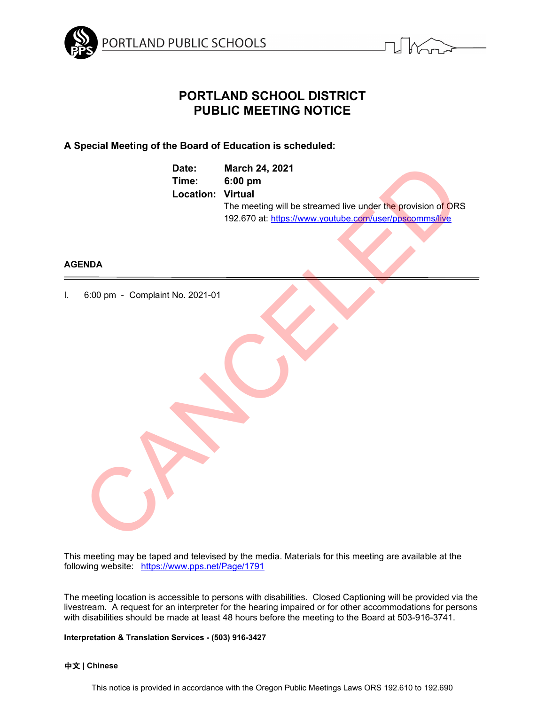



# **PORTLAND SCHOOL DISTRICT PUBLIC MEETING NOTICE**

## **A Special Meeting of the Board of Education is scheduled:**

|                                 | Date:<br>Time:<br>Location: | March 24, 2021<br>6:00 pm<br><b>Virtual</b><br>The meeting will be streamed live under the provision of ORS<br>192.670 at: https://www.youtube.com/user/ppscomms/live |
|---------------------------------|-----------------------------|-----------------------------------------------------------------------------------------------------------------------------------------------------------------------|
| <b>ENDA</b>                     |                             |                                                                                                                                                                       |
| 6:00 pm - Complaint No. 2021-01 |                             |                                                                                                                                                                       |

### **AGENDA**

I. 6:00 pm - Complaint No. 2021-01

This meeting may be taped and televised by the media. Materials for this meeting are available at the following website: <https://www.pps.net/Page/1791>

The meeting location is accessible to persons with disabilities. Closed Captioning will be provided via the livestream. A request for an interpreter for the hearing impaired or for other accommodations for persons with disabilities should be made at least 48 hours before the meeting to the Board at 503-916-3741.

**Interpretation & Translation Services - (503) 916-3427**

### 中文 **| Chinese**